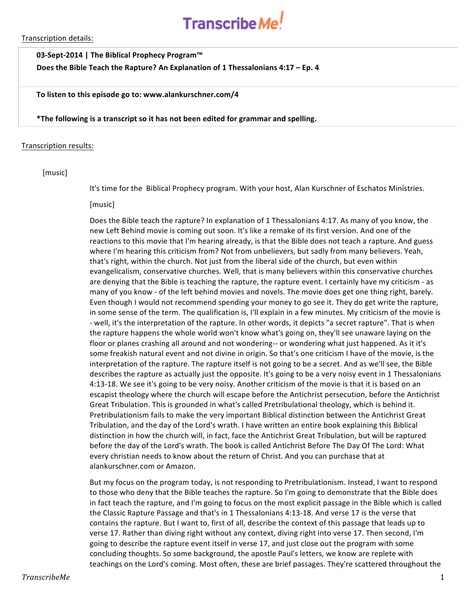

Transcription details:

### **03-Sept-2014** | The Biblical Prophecy Program™

Does the Bible Teach the Rapture? An Explanation of 1 Thessalonians 4:17 – Ep. 4

#### To listen to this episode go to: www.alankurschner.com/4

**\*The following is a transcript so it has not been edited for grammar and spelling.** 

### Transcription results:

### [music]

It's time for the Biblical Prophecy program. With your host, Alan Kurschner of Eschatos Ministries.

#### [music]

Does the Bible teach the rapture? In explanation of 1 Thessalonians 4:17. As many of you know, the new Left Behind movie is coming out soon. It's like a remake of its first version. And one of the reactions to this movie that I'm hearing already, is that the Bible does not teach a rapture. And guess where I'm hearing this criticism from? Not from unbelievers, but sadly from many believers. Yeah, that's right, within the church. Not just from the liberal side of the church, but even within evangelicalism, conservative churches. Well, that is many believers within this conservative churches are denying that the Bible is teaching the rapture, the rapture event. I certainly have my criticism - as many of you know - of the left behind movies and novels. The movie does get one thing right, barely. Even though I would not recommend spending your money to go see it. They do get write the rapture, in some sense of the term. The qualification is, I'll explain in a few minutes. My criticism of the movie is - well, it's the interpretation of the rapture. In other words, it depicts "a secret rapture". That is when the rapture happens the whole world won't know what's going on, they'll see unaware laying on the floor or planes crashing all around and not wondering-- or wondering what just happened. As it it's some freakish natural event and not divine in origin. So that's one criticism I have of the movie, is the interpretation of the rapture. The rapture itself is not going to be a secret. And as we'll see, the Bible describes the rapture as actually just the opposite. It's going to be a very noisy event in 1 Thessalonians 4:13-18. We see it's going to be very noisy. Another criticism of the movie is that it is based on an escapist theology where the church will escape before the Antichrist persecution, before the Antichrist Great Tribulation. This is grounded in what's called Pretribulational theology, which is behind it. Pretribulationism fails to make the very important Biblical distinction between the Antichrist Great Tribulation, and the day of the Lord's wrath. I have written an entire book explaining this Biblical distinction in how the church will, in fact, face the Antichrist Great Tribulation, but will be raptured before the day of the Lord's wrath. The book is called Antichrist Before The Day Of The Lord: What every christian needs to know about the return of Christ. And you can purchase that at alankurschner.com or Amazon.

But my focus on the program today, is not responding to Pretribulationism. Instead, I want to respond to those who deny that the Bible teaches the rapture. So I'm going to demonstrate that the Bible does in fact teach the rapture, and I'm going to focus on the most explicit passage in the Bible which is called the Classic Rapture Passage and that's in 1 Thessalonians 4:13-18. And verse 17 is the verse that contains the rapture. But I want to, first of all, describe the context of this passage that leads up to verse 17. Rather than diving right without any context, diving right into verse 17. Then second, I'm going to describe the rapture event itself in verse 17, and just close out the program with some concluding thoughts. So some background, the apostle Paul's letters, we know are replete with teachings on the Lord's coming. Most often, these are brief passages. They're scattered throughout the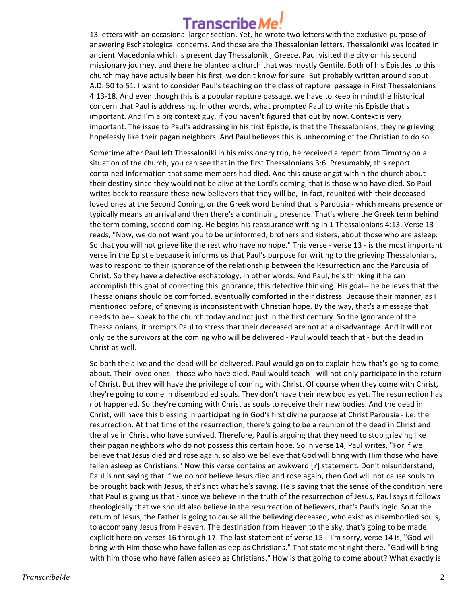## Transcribe*l*

13 letters with an occasional larger section. Yet, he wrote two letters with the exclusive purpose of answering Eschatological concerns. And those are the Thessalonian letters. Thessaloniki was located in ancient Macedonia which is present day Thessaloniki, Greece. Paul visited the city on his second missionary journey, and there he planted a church that was mostly Gentile. Both of his Epistles to this church may have actually been his first, we don't know for sure. But probably written around about A.D. 50 to 51. I want to consider Paul's teaching on the class of rapture passage in First Thessalonians 4:13-18. And even though this is a popular rapture passage, we have to keep in mind the historical concern that Paul is addressing. In other words, what prompted Paul to write his Epistle that's important. And I'm a big context guy, if you haven't figured that out by now. Context is very important. The issue to Paul's addressing in his first Epistle, is that the Thessalonians, they're grieving hopelessly like their pagan neighbors. And Paul believes this is unbecoming of the Christian to do so.

Sometime after Paul left Thessaloniki in his missionary trip, he received a report from Timothy on a situation of the church, you can see that in the first Thessalonians 3:6. Presumably, this report contained information that some members had died. And this cause angst within the church about their destiny since they would not be alive at the Lord's coming, that is those who have died. So Paul writes back to reassure these new believers that they will be, in fact, reunited with their deceased loved ones at the Second Coming, or the Greek word behind that is Parousia - which means presence or typically means an arrival and then there's a continuing presence. That's where the Greek term behind the term coming, second coming. He begins his reassurance writing in 1 Thessalonians 4:13. Verse 13 reads, "Now, we do not want you to be uninformed, brothers and sisters, about those who are asleep. So that you will not grieve like the rest who have no hope." This verse - verse 13 - is the most important verse in the Epistle because it informs us that Paul's purpose for writing to the grieving Thessalonians, was to respond to their ignorance of the relationship between the Resurrection and the Parousia of Christ. So they have a defective eschatology, in other words. And Paul, he's thinking if he can accomplish this goal of correcting this ignorance, this defective thinking. His goal-- he believes that the Thessalonians should be comforted, eventually comforted in their distress. Because their manner, as I mentioned before, of grieving is inconsistent with Christian hope. By the way, that's a message that needs to be-- speak to the church today and not just in the first century. So the ignorance of the Thessalonians, it prompts Paul to stress that their deceased are not at a disadvantage. And it will not only be the survivors at the coming who will be delivered - Paul would teach that - but the dead in Christ as well.

So both the alive and the dead will be delivered. Paul would go on to explain how that's going to come about. Their loved ones - those who have died, Paul would teach - will not only participate in the return of Christ. But they will have the privilege of coming with Christ. Of course when they come with Christ, they're going to come in disembodied souls. They don't have their new bodies yet. The resurrection has not happened. So they're coming with Christ as souls to receive their new bodies. And the dead in Christ, will have this blessing in participating in God's first divine purpose at Christ Parousia - i.e. the resurrection. At that time of the resurrection, there's going to be a reunion of the dead in Christ and the alive in Christ who have survived. Therefore, Paul is arguing that they need to stop grieving like their pagan neighbors who do not possess this certain hope. So in verse 14, Paul writes, "For if we believe that Jesus died and rose again, so also we believe that God will bring with Him those who have fallen asleep as Christians." Now this verse contains an awkward [?] statement. Don't misunderstand, Paul is not saying that if we do not believe Jesus died and rose again, then God will not cause souls to be brought back with Jesus, that's not what he's saying. He's saying that the sense of the condition here that Paul is giving us that - since we believe in the truth of the resurrection of Jesus, Paul says it follows theologically that we should also believe in the resurrection of believers, that's Paul's logic. So at the return of Jesus, the Father is going to cause all the believing deceased, who exist as disembodied souls, to accompany Jesus from Heaven. The destination from Heaven to the sky, that's going to be made explicit here on verses 16 through 17. The last statement of verse 15-- I'm sorry, verse 14 is, "God will bring with Him those who have fallen asleep as Christians." That statement right there, "God will bring with him those who have fallen asleep as Christians." How is that going to come about? What exactly is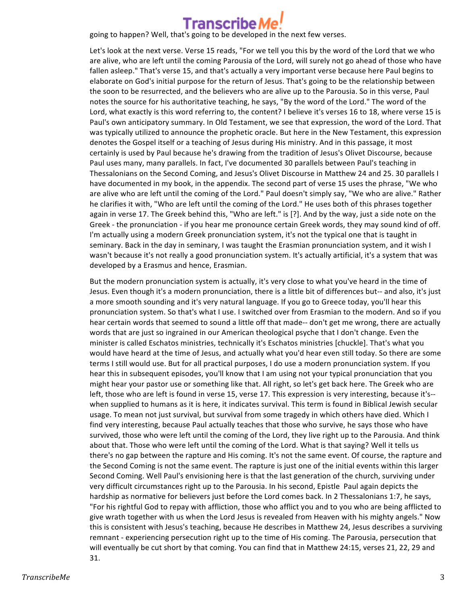

**Franscribe Me!**<br>going to happen? Well, that's going to be developed in the next few verses.

Let's look at the next verse. Verse 15 reads, "For we tell you this by the word of the Lord that we who are alive, who are left until the coming Parousia of the Lord, will surely not go ahead of those who have fallen asleep." That's verse 15, and that's actually a very important verse because here Paul begins to elaborate on God's initial purpose for the return of Jesus. That's going to be the relationship between the soon to be resurrected, and the believers who are alive up to the Parousia. So in this verse, Paul notes the source for his authoritative teaching, he says, "By the word of the Lord." The word of the Lord, what exactly is this word referring to, the content? I believe it's verses 16 to 18, where verse 15 is Paul's own anticipatory summary. In Old Testament, we see that expression, the word of the Lord. That was typically utilized to announce the prophetic oracle. But here in the New Testament, this expression denotes the Gospel itself or a teaching of Jesus during His ministry. And in this passage, it most certainly is used by Paul because he's drawing from the tradition of Jesus's Olivet Discourse, because Paul uses many, many parallels. In fact, I've documented 30 parallels between Paul's teaching in Thessalonians on the Second Coming, and Jesus's Olivet Discourse in Matthew 24 and 25. 30 parallels I have documented in my book, in the appendix. The second part of verse 15 uses the phrase, "We who are alive who are left until the coming of the Lord." Paul doesn't simply say, "We who are alive." Rather he clarifies it with, "Who are left until the coming of the Lord." He uses both of this phrases together again in verse 17. The Greek behind this, "Who are left." is [?]. And by the way, just a side note on the Greek - the pronunciation - if you hear me pronounce certain Greek words, they may sound kind of off. I'm actually using a modern Greek pronunciation system, it's not the typical one that is taught in seminary. Back in the day in seminary, I was taught the Erasmian pronunciation system, and it wish I wasn't because it's not really a good pronunciation system. It's actually artificial, it's a system that was developed by a Erasmus and hence, Erasmian.

But the modern pronunciation system is actually, it's very close to what you've heard in the time of Jesus. Even though it's a modern pronunciation, there is a little bit of differences but-- and also, it's just a more smooth sounding and it's very natural language. If you go to Greece today, you'll hear this pronunciation system. So that's what I use. I switched over from Erasmian to the modern. And so if you hear certain words that seemed to sound a little off that made-- don't get me wrong, there are actually words that are just so ingrained in our American theological psyche that I don't change. Even the minister is called Eschatos ministries, technically it's Eschatos ministries [chuckle]. That's what you would have heard at the time of Jesus, and actually what you'd hear even still today. So there are some terms I still would use. But for all practical purposes, I do use a modern pronunciation system. If you hear this in subsequent episodes, you'll know that I am using not your typical pronunciation that you might hear your pastor use or something like that. All right, so let's get back here. The Greek who are left, those who are left is found in verse 15, verse 17. This expression is very interesting, because it's-when supplied to humans as it is here, it indicates survival. This term is found in Biblical Jewish secular usage. To mean not just survival, but survival from some tragedy in which others have died. Which I find very interesting, because Paul actually teaches that those who survive, he says those who have survived, those who were left until the coming of the Lord, they live right up to the Parousia. And think about that. Those who were left until the coming of the Lord. What is that saying? Well it tells us there's no gap between the rapture and His coming. It's not the same event. Of course, the rapture and the Second Coming is not the same event. The rapture is just one of the initial events within this larger Second Coming. Well Paul's envisioning here is that the last generation of the church, surviving under very difficult circumstances right up to the Parousia. In his second, Epistle Paul again depicts the hardship as normative for believers just before the Lord comes back. In 2 Thessalonians 1:7, he says, "For his rightful God to repay with affliction, those who afflict you and to you who are being afflicted to give wrath together with us when the Lord Jesus is revealed from Heaven with his mighty angels." Now this is consistent with Jesus's teaching, because He describes in Matthew 24, Jesus describes a surviving remnant - experiencing persecution right up to the time of His coming. The Parousia, persecution that will eventually be cut short by that coming. You can find that in Matthew 24:15, verses 21, 22, 29 and 31.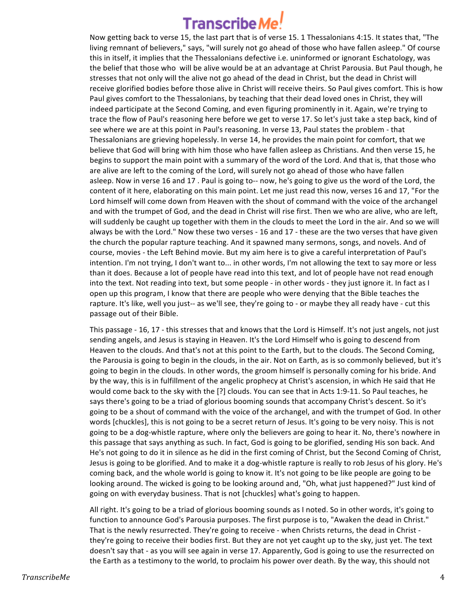# **Transcribe Me**

Now getting back to verse 15, the last part that is of verse 15. 1 Thessalonians 4:15. It states that, "The living remnant of believers," says, "will surely not go ahead of those who have fallen asleep." Of course this in itself, it implies that the Thessalonians defective i.e. uninformed or ignorant Eschatology, was the belief that those who will be alive would be at an advantage at Christ Parousia. But Paul though, he stresses that not only will the alive not go ahead of the dead in Christ, but the dead in Christ will receive glorified bodies before those alive in Christ will receive theirs. So Paul gives comfort. This is how Paul gives comfort to the Thessalonians, by teaching that their dead loved ones in Christ, they will indeed participate at the Second Coming, and even figuring prominently in it. Again, we're trying to trace the flow of Paul's reasoning here before we get to verse 17. So let's just take a step back, kind of see where we are at this point in Paul's reasoning. In verse 13, Paul states the problem - that Thessalonians are grieving hopelessly. In verse 14, he provides the main point for comfort, that we believe that God will bring with him those who have fallen asleep as Christians. And then verse 15, he begins to support the main point with a summary of the word of the Lord. And that is, that those who are alive are left to the coming of the Lord, will surely not go ahead of those who have fallen asleep. Now in verse 16 and 17. Paul is going to-- now, he's going to give us the word of the Lord, the content of it here, elaborating on this main point. Let me just read this now, verses 16 and 17, "For the Lord himself will come down from Heaven with the shout of command with the voice of the archangel and with the trumpet of God, and the dead in Christ will rise first. Then we who are alive, who are left, will suddenly be caught up together with them in the clouds to meet the Lord in the air. And so we will always be with the Lord." Now these two verses - 16 and 17 - these are the two verses that have given the church the popular rapture teaching. And it spawned many sermons, songs, and novels. And of course, movies - the Left Behind movie. But my aim here is to give a careful interpretation of Paul's intention. I'm not trying, I don't want to... in other words, I'm not allowing the text to say more or less than it does. Because a lot of people have read into this text, and lot of people have not read enough into the text. Not reading into text, but some people - in other words - they just ignore it. In fact as I open up this program, I know that there are people who were denying that the Bible teaches the rapture. It's like, well you just-- as we'll see, they're going to - or maybe they all ready have - cut this passage out of their Bible.

This passage - 16, 17 - this stresses that and knows that the Lord is Himself. It's not just angels, not just sending angels, and Jesus is staying in Heaven. It's the Lord Himself who is going to descend from Heaven to the clouds. And that's not at this point to the Earth, but to the clouds. The Second Coming, the Parousia is going to begin in the clouds, in the air. Not on Earth, as is so commonly believed, but it's going to begin in the clouds. In other words, the groom himself is personally coming for his bride. And by the way, this is in fulfillment of the angelic prophecy at Christ's ascension, in which He said that He would come back to the sky with the [?] clouds. You can see that in Acts 1:9-11. So Paul teaches, he says there's going to be a triad of glorious booming sounds that accompany Christ's descent. So it's going to be a shout of command with the voice of the archangel, and with the trumpet of God. In other words [chuckles], this is not going to be a secret return of Jesus. It's going to be very noisy. This is not going to be a dog-whistle rapture, where only the believers are going to hear it. No, there's nowhere in this passage that says anything as such. In fact, God is going to be glorified, sending His son back. And He's not going to do it in silence as he did in the first coming of Christ, but the Second Coming of Christ, Jesus is going to be glorified. And to make it a dog-whistle rapture is really to rob Jesus of his glory. He's coming back, and the whole world is going to know it. It's not going to be like people are going to be looking around. The wicked is going to be looking around and, "Oh, what just happened?" Just kind of going on with everyday business. That is not [chuckles] what's going to happen.

All right. It's going to be a triad of glorious booming sounds as I noted. So in other words, it's going to function to announce God's Parousia purposes. The first purpose is to, "Awaken the dead in Christ." That is the newly resurrected. They're going to receive - when Christs returns, the dead in Christ they're going to receive their bodies first. But they are not yet caught up to the sky, just yet. The text doesn't say that - as you will see again in verse 17. Apparently, God is going to use the resurrected on the Earth as a testimony to the world, to proclaim his power over death. By the way, this should not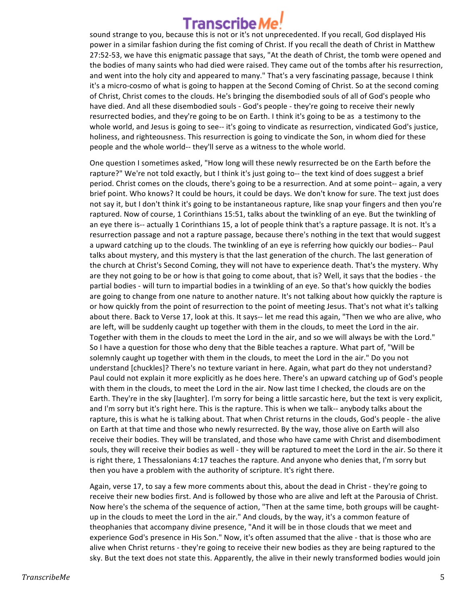sound strange to you, because this is not or it's not unprecedented. If you recall, God displayed His power in a similar fashion during the fist coming of Christ. If you recall the death of Christ in Matthew 27:52-53, we have this enigmatic passage that says, "At the death of Christ, the tomb were opened and the bodies of many saints who had died were raised. They came out of the tombs after his resurrection, and went into the holy city and appeared to many." That's a very fascinating passage, because I think it's a micro-cosmo of what is going to happen at the Second Coming of Christ. So at the second coming of Christ, Christ comes to the clouds. He's bringing the disembodied souls of all of God's people who have died. And all these disembodied souls - God's people - they're going to receive their newly resurrected bodies, and they're going to be on Earth. I think it's going to be as a testimony to the whole world, and Jesus is going to see-- it's going to vindicate as resurrection, vindicated God's justice, holiness, and righteousness. This resurrection is going to vindicate the Son, in whom died for these people and the whole world-- they'll serve as a witness to the whole world.

One question I sometimes asked, "How long will these newly resurrected be on the Earth before the rapture?" We're not told exactly, but I think it's just going to-- the text kind of does suggest a brief period. Christ comes on the clouds, there's going to be a resurrection. And at some point-- again, a very brief point. Who knows? It could be hours, it could be days. We don't know for sure. The text just does not say it, but I don't think it's going to be instantaneous rapture, like snap your fingers and then you're raptured. Now of course, 1 Corinthians 15:51, talks about the twinkling of an eye. But the twinkling of an eye there is-- actually 1 Corinthians 15, a lot of people think that's a rapture passage. It is not. It's a resurrection passage and not a rapture passage, because there's nothing in the text that would suggest a upward catching up to the clouds. The twinkling of an eye is referring how quickly our bodies-- Paul talks about mystery, and this mystery is that the last generation of the church. The last generation of the church at Christ's Second Coming, they will not have to experience death. That's the mystery. Why are they not going to be or how is that going to come about, that is? Well, it says that the bodies - the partial bodies - will turn to impartial bodies in a twinkling of an eye. So that's how quickly the bodies are going to change from one nature to another nature. It's not talking about how quickly the rapture is or how quickly from the point of resurrection to the point of meeting Jesus. That's not what it's talking about there. Back to Verse 17, look at this. It says-- let me read this again, "Then we who are alive, who are left, will be suddenly caught up together with them in the clouds, to meet the Lord in the air. Together with them in the clouds to meet the Lord in the air, and so we will always be with the Lord." So I have a question for those who deny that the Bible teaches a rapture. What part of, "Will be solemnly caught up together with them in the clouds, to meet the Lord in the air." Do you not understand [chuckles]? There's no texture variant in here. Again, what part do they not understand? Paul could not explain it more explicitly as he does here. There's an upward catching up of God's people with them in the clouds, to meet the Lord in the air. Now last time I checked, the clouds are on the Earth. They're in the sky [laughter]. I'm sorry for being a little sarcastic here, but the text is very explicit, and I'm sorry but it's right here. This is the rapture. This is when we talk-- anybody talks about the rapture, this is what he is talking about. That when Christ returns in the clouds, God's people - the alive on Earth at that time and those who newly resurrected. By the way, those alive on Earth will also receive their bodies. They will be translated, and those who have came with Christ and disembodiment souls, they will receive their bodies as well - they will be raptured to meet the Lord in the air. So there it is right there, 1 Thessalonians 4:17 teaches the rapture. And anyone who denies that, I'm sorry but then you have a problem with the authority of scripture. It's right there.

Again, verse 17, to say a few more comments about this, about the dead in Christ - they're going to receive their new bodies first. And is followed by those who are alive and left at the Parousia of Christ. Now here's the schema of the sequence of action, "Then at the same time, both groups will be caughtup in the clouds to meet the Lord in the air." And clouds, by the way, it's a common feature of theophanies that accompany divine presence, "And it will be in those clouds that we meet and experience God's presence in His Son." Now, it's often assumed that the alive - that is those who are alive when Christ returns - they're going to receive their new bodies as they are being raptured to the sky. But the text does not state this. Apparently, the alive in their newly transformed bodies would join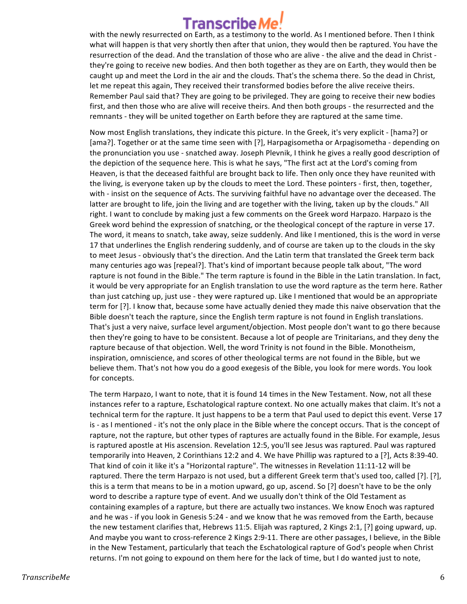## Transcribe/

with the newly resurrected on Earth, as a testimony to the world. As I mentioned before. Then I think what will happen is that very shortly then after that union, they would then be raptured. You have the resurrection of the dead. And the translation of those who are alive - the alive and the dead in Christ they're going to receive new bodies. And then both together as they are on Earth, they would then be caught up and meet the Lord in the air and the clouds. That's the schema there. So the dead in Christ, let me repeat this again, They received their transformed bodies before the alive receive theirs. Remember Paul said that? They are going to be privileged. They are going to receive their new bodies first, and then those who are alive will receive theirs. And then both groups - the resurrected and the remnants - they will be united together on Earth before they are raptured at the same time.

Now most English translations, they indicate this picture. In the Greek, it's very explicit - [hama?] or [ama?]. Together or at the same time seen with [?], Harpagisometha or Arpagisometha - depending on the pronunciation you use - snatched away. Joseph Plevnik, I think he gives a really good description of the depiction of the sequence here. This is what he says, "The first act at the Lord's coming from Heaven, is that the deceased faithful are brought back to life. Then only once they have reunited with the living, is everyone taken up by the clouds to meet the Lord. These pointers - first, then, together, with - insist on the sequence of Acts. The surviving faithful have no advantage over the deceased. The latter are brought to life, join the living and are together with the living, taken up by the clouds." All right. I want to conclude by making just a few comments on the Greek word Harpazo. Harpazo is the Greek word behind the expression of snatching, or the theological concept of the rapture in verse 17. The word, it means to snatch, take away, seize suddenly. And like I mentioned, this is the word in verse 17 that underlines the English rendering suddenly, and of course are taken up to the clouds in the sky to meet Jesus - obviously that's the direction. And the Latin term that translated the Greek term back many centuries ago was [repeal?]. That's kind of important because people talk about, "The word rapture is not found in the Bible." The term rapture is found in the Bible in the Latin translation. In fact, it would be very appropriate for an English translation to use the word rapture as the term here. Rather than just catching up, just use - they were raptured up. Like I mentioned that would be an appropriate term for [?]. I know that, because some have actually denied they made this naive observation that the Bible doesn't teach the rapture, since the English term rapture is not found in English translations. That's just a very naive, surface level argument/objection. Most people don't want to go there because then they're going to have to be consistent. Because a lot of people are Trinitarians, and they deny the rapture because of that objection. Well, the word Trinity is not found in the Bible. Monotheism, inspiration, omniscience, and scores of other theological terms are not found in the Bible, but we believe them. That's not how you do a good exegesis of the Bible, you look for mere words. You look for concepts.

The term Harpazo, I want to note, that it is found 14 times in the New Testament. Now, not all these instances refer to a rapture, Eschatological rapture context. No one actually makes that claim. It's not a technical term for the rapture. It just happens to be a term that Paul used to depict this event. Verse 17 is - as I mentioned - it's not the only place in the Bible where the concept occurs. That is the concept of rapture, not the rapture, but other types of raptures are actually found in the Bible. For example, Jesus is raptured apostle at His ascension. Revelation 12:5, you'll see Jesus was raptured. Paul was raptured temporarily into Heaven, 2 Corinthians 12:2 and 4. We have Phillip was raptured to a [?], Acts 8:39-40. That kind of coin it like it's a "Horizontal rapture". The witnesses in Revelation 11:11-12 will be raptured. There the term Harpazo is not used, but a different Greek term that's used too, called [?]. [?], this is a term that means to be in a motion upward, go up, ascend. So [?] doesn't have to be the only word to describe a rapture type of event. And we usually don't think of the Old Testament as containing examples of a rapture, but there are actually two instances. We know Enoch was raptured and he was - if you look in Genesis 5:24 - and we know that he was removed from the Earth, because the new testament clarifies that, Hebrews 11:5. Elijah was raptured, 2 Kings 2:1, [?] going upward, up. And maybe you want to cross-reference 2 Kings 2:9-11. There are other passages, I believe, in the Bible in the New Testament, particularly that teach the Eschatological rapture of God's people when Christ returns. I'm not going to expound on them here for the lack of time, but I do wanted just to note,